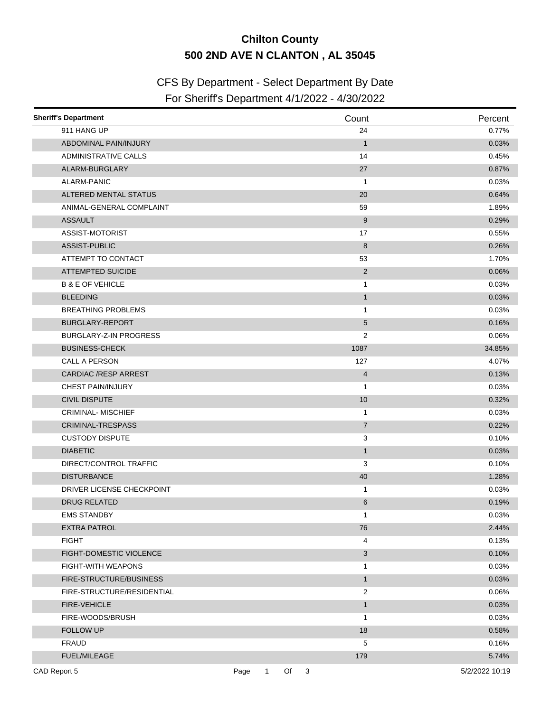## **Chilton County 500 2ND AVE N CLANTON , AL 35045**

## CFS By Department - Select Department By Date

## For Sheriff's Department 4/1/2022 - 4/30/2022

| <b>Sheriff's Department</b>   |                      |      | Count                     | Percent        |
|-------------------------------|----------------------|------|---------------------------|----------------|
| 911 HANG UP                   |                      |      | 24                        | 0.77%          |
| ABDOMINAL PAIN/INJURY         |                      |      | $\mathbf{1}$              | 0.03%          |
| <b>ADMINISTRATIVE CALLS</b>   |                      |      | 14                        | 0.45%          |
| ALARM-BURGLARY                |                      |      | 27                        | 0.87%          |
| ALARM-PANIC                   |                      |      | 1                         | 0.03%          |
| ALTERED MENTAL STATUS         |                      |      | 20                        | 0.64%          |
| ANIMAL-GENERAL COMPLAINT      |                      |      | 59                        | 1.89%          |
| <b>ASSAULT</b>                |                      |      | $\boldsymbol{9}$          | 0.29%          |
| ASSIST-MOTORIST               |                      |      | 17                        | 0.55%          |
| ASSIST-PUBLIC                 |                      |      | 8                         | 0.26%          |
| ATTEMPT TO CONTACT            |                      |      | 53                        | 1.70%          |
| <b>ATTEMPTED SUICIDE</b>      |                      |      | $\overline{2}$            | 0.06%          |
| <b>B &amp; E OF VEHICLE</b>   |                      |      | $\mathbf{1}$              | 0.03%          |
| <b>BLEEDING</b>               |                      |      | $\mathbf{1}$              | 0.03%          |
| <b>BREATHING PROBLEMS</b>     |                      |      | $\mathbf{1}$              | 0.03%          |
| <b>BURGLARY-REPORT</b>        |                      |      | 5                         | 0.16%          |
| <b>BURGLARY-Z-IN PROGRESS</b> |                      |      | 2                         | 0.06%          |
| <b>BUSINESS-CHECK</b>         |                      |      | 1087                      | 34.85%         |
| CALL A PERSON                 |                      |      | 127                       | 4.07%          |
| CARDIAC /RESP ARREST          |                      |      | $\overline{4}$            | 0.13%          |
| <b>CHEST PAIN/INJURY</b>      |                      |      | 1                         | 0.03%          |
| <b>CIVIL DISPUTE</b>          |                      |      | 10                        | 0.32%          |
| <b>CRIMINAL-MISCHIEF</b>      |                      |      | $\mathbf{1}$              | 0.03%          |
| <b>CRIMINAL-TRESPASS</b>      |                      |      | $\overline{7}$            | 0.22%          |
| <b>CUSTODY DISPUTE</b>        |                      |      | 3                         | 0.10%          |
| <b>DIABETIC</b>               |                      |      | $\mathbf{1}$              | 0.03%          |
| DIRECT/CONTROL TRAFFIC        |                      |      | 3                         | 0.10%          |
| <b>DISTURBANCE</b>            |                      |      | 40                        | 1.28%          |
| DRIVER LICENSE CHECKPOINT     |                      |      | $\mathbf{1}$              | 0.03%          |
| <b>DRUG RELATED</b>           |                      |      | 6                         | 0.19%          |
| <b>EMS STANDBY</b>            |                      |      | 1                         | 0.03%          |
| <b>EXTRA PATROL</b>           |                      |      | 76                        | 2.44%          |
| <b>FIGHT</b>                  |                      |      | 4                         | 0.13%          |
| FIGHT-DOMESTIC VIOLENCE       |                      |      | $\ensuremath{\mathsf{3}}$ | 0.10%          |
| FIGHT-WITH WEAPONS            |                      |      | 1                         | 0.03%          |
| FIRE-STRUCTURE/BUSINESS       |                      |      | $\mathbf{1}$              | 0.03%          |
| FIRE-STRUCTURE/RESIDENTIAL    |                      |      | 2                         | 0.06%          |
| FIRE-VEHICLE                  |                      |      | $\mathbf{1}$              | 0.03%          |
| FIRE-WOODS/BRUSH              |                      |      | $\mathbf{1}$              | 0.03%          |
| <b>FOLLOW UP</b>              |                      |      | 18                        | 0.58%          |
| <b>FRAUD</b>                  |                      |      | 5                         | 0.16%          |
| <b>FUEL/MILEAGE</b>           |                      |      | 179                       | 5.74%          |
| CAD Report 5                  | $\mathbf{1}$<br>Page | Of 3 |                           | 5/2/2022 10:19 |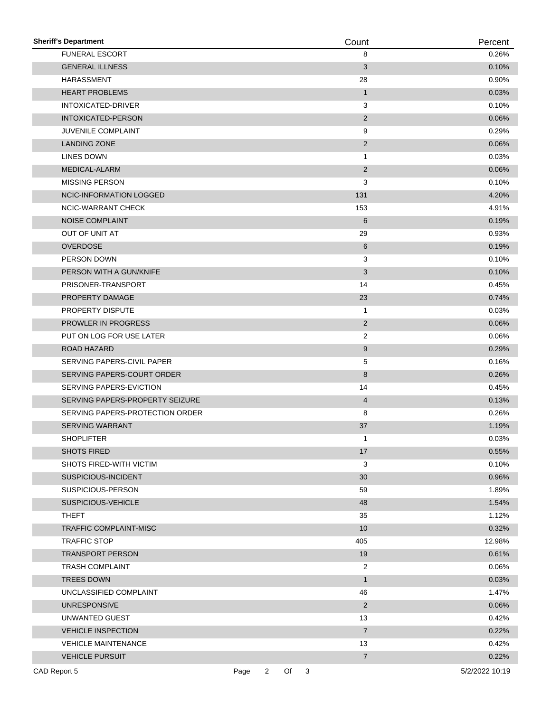| <b>Sheriff's Department</b>     |      |                |    |   | Count          | Percent        |
|---------------------------------|------|----------------|----|---|----------------|----------------|
| <b>FUNERAL ESCORT</b>           |      |                |    |   | 8              | 0.26%          |
| <b>GENERAL ILLNESS</b>          |      |                |    |   | 3              | 0.10%          |
| <b>HARASSMENT</b>               |      |                |    |   | 28             | 0.90%          |
| <b>HEART PROBLEMS</b>           |      |                |    |   | $\mathbf{1}$   | 0.03%          |
| INTOXICATED-DRIVER              |      |                |    |   | 3              | 0.10%          |
| <b>INTOXICATED-PERSON</b>       |      |                |    |   | $\overline{c}$ | 0.06%          |
| <b>JUVENILE COMPLAINT</b>       |      |                |    |   | 9              | 0.29%          |
| <b>LANDING ZONE</b>             |      |                |    |   | 2              | 0.06%          |
| LINES DOWN                      |      |                |    |   | 1              | 0.03%          |
| MEDICAL-ALARM                   |      |                |    |   | $\overline{2}$ | 0.06%          |
| <b>MISSING PERSON</b>           |      |                |    |   | 3              | 0.10%          |
| <b>NCIC-INFORMATION LOGGED</b>  |      |                |    |   | 131            | 4.20%          |
| NCIC-WARRANT CHECK              |      |                |    |   | 153            | 4.91%          |
| <b>NOISE COMPLAINT</b>          |      |                |    |   | 6              | 0.19%          |
| OUT OF UNIT AT                  |      |                |    |   | 29             | 0.93%          |
| <b>OVERDOSE</b>                 |      |                |    |   | 6              | 0.19%          |
| PERSON DOWN                     |      |                |    |   | 3              | 0.10%          |
| PERSON WITH A GUN/KNIFE         |      |                |    |   | 3              | 0.10%          |
| PRISONER-TRANSPORT              |      |                |    |   | 14             | 0.45%          |
| PROPERTY DAMAGE                 |      |                |    |   | 23             | 0.74%          |
| PROPERTY DISPUTE                |      |                |    |   | 1              | 0.03%          |
| PROWLER IN PROGRESS             |      |                |    |   | $\overline{c}$ | 0.06%          |
| PUT ON LOG FOR USE LATER        |      |                |    |   | $\overline{2}$ | 0.06%          |
| ROAD HAZARD                     |      |                |    |   | 9              | 0.29%          |
| SERVING PAPERS-CIVIL PAPER      |      |                |    |   | 5              | 0.16%          |
| SERVING PAPERS-COURT ORDER      |      |                |    |   | 8              | 0.26%          |
| SERVING PAPERS-EVICTION         |      |                |    |   | 14             | 0.45%          |
| SERVING PAPERS-PROPERTY SEIZURE |      |                |    |   | $\overline{4}$ | 0.13%          |
| SERVING PAPERS-PROTECTION ORDER |      |                |    |   | 8              | 0.26%          |
| SERVING WARRANT                 |      |                |    |   | 37             | 1.19%          |
| <b>SHOPLIFTER</b>               |      |                |    |   | 1              | 0.03%          |
| <b>SHOTS FIRED</b>              |      |                |    |   | 17             | 0.55%          |
| SHOTS FIRED-WITH VICTIM         |      |                |    |   | 3              | 0.10%          |
| SUSPICIOUS-INCIDENT             |      |                |    |   | 30             | 0.96%          |
| SUSPICIOUS-PERSON               |      |                |    |   | 59             | 1.89%          |
| SUSPICIOUS-VEHICLE              |      |                |    |   | 48             | 1.54%          |
| <b>THEFT</b>                    |      |                |    |   | 35             | 1.12%          |
|                                 |      |                |    |   |                |                |
| TRAFFIC COMPLAINT-MISC          |      |                |    |   | 10             | 0.32%          |
| <b>TRAFFIC STOP</b>             |      |                |    |   | 405            | 12.98%         |
| <b>TRANSPORT PERSON</b>         |      |                |    |   | 19             | 0.61%          |
| <b>TRASH COMPLAINT</b>          |      |                |    |   | $\overline{c}$ | 0.06%          |
| TREES DOWN                      |      |                |    |   | $\mathbf{1}$   | 0.03%          |
| UNCLASSIFIED COMPLAINT          |      |                |    |   | 46             | 1.47%          |
| <b>UNRESPONSIVE</b>             |      |                |    |   | $\overline{2}$ | 0.06%          |
| UNWANTED GUEST                  |      |                |    |   | 13             | 0.42%          |
| <b>VEHICLE INSPECTION</b>       |      |                |    |   | $\overline{7}$ | 0.22%          |
| <b>VEHICLE MAINTENANCE</b>      |      |                |    |   | 13             | 0.42%          |
| <b>VEHICLE PURSUIT</b>          |      |                |    |   | $\overline{7}$ | 0.22%          |
| CAD Report 5                    | Page | $\overline{2}$ | Of | 3 |                | 5/2/2022 10:19 |